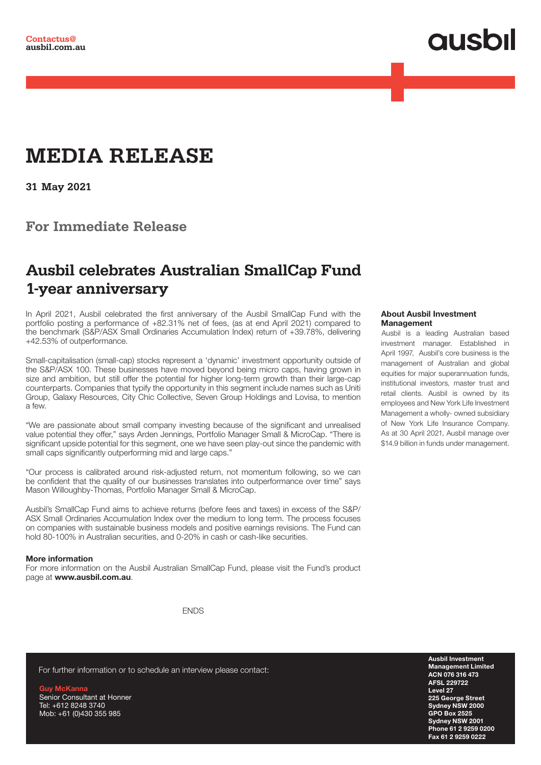# **QUSOI**

## **MEDIA RELEASE**

**31 May 2021**

**For Immediate Release**

### **Ausbil celebrates Australian SmallCap Fund 1-year anniversary**

In April 2021, Ausbil celebrated the first anniversary of the Ausbil SmallCap Fund with the portfolio posting a performance of +82.31% net of fees, (as at end April 2021) compared to the benchmark (S&P/ASX Small Ordinaries Accumulation Index) return of +39.78%, delivering +42.53% of outperformance.

Small-capitalisation (small-cap) stocks represent a 'dynamic' investment opportunity outside of the S&P/ASX 100. These businesses have moved beyond being micro caps, having grown in size and ambition, but still offer the potential for higher long-term growth than their large-cap counterparts. Companies that typify the opportunity in this segment include names such as Uniti Group, Galaxy Resources, City Chic Collective, Seven Group Holdings and Lovisa, to mention a few.

"We are passionate about small company investing because of the significant and unrealised value potential they offer," says Arden Jennings, Portfolio Manager Small & MicroCap. "There is significant upside potential for this segment, one we have seen play-out since the pandemic with small caps significantly outperforming mid and large caps."

"Our process is calibrated around risk-adjusted return, not momentum following, so we can be confident that the quality of our businesses translates into outperformance over time" says Mason Willoughby-Thomas, Portfolio Manager Small & MicroCap.

Ausbil's SmallCap Fund aims to achieve returns (before fees and taxes) in excess of the S&P/ ASX Small Ordinaries Accumulation Index over the medium to long term. The process focuses on companies with sustainable business models and positive earnings revisions. The Fund can hold 80-100% in Australian securities, and 0-20% in cash or cash-like securities.

#### More information

For more information on the Ausbil Australian SmallCap Fund, please visit the Fund's product page at www.ausbil.com.au.

**ENDS** 

#### About Ausbil Investment Management

Ausbil is a leading Australian based investment manager. Established in April 1997, Ausbil's core business is the management of Australian and global equities for major superannuation funds, institutional investors, master trust and retail clients. Ausbil is owned by its employees and New York Life Investment Management a wholly- owned subsidiary of New York Life Insurance Company. As at 30 April 2021, Ausbil manage over \$14.9 billion in funds under management.

For further information or to schedule an interview please contact:

Guy McKanna Senior Consultant at Honner Tel: +612 8248 3740 Mob: +61 (0)430 355 985

Ausbil Investment Management Limited ACN 076 316 473 AFSL 229722 Level 27 225 George Street Sydney NSW 2000 GPO Box 2525 Sydney NSW 2001 Phone 61 2 9259 0200 Fax 61 2 9259 0222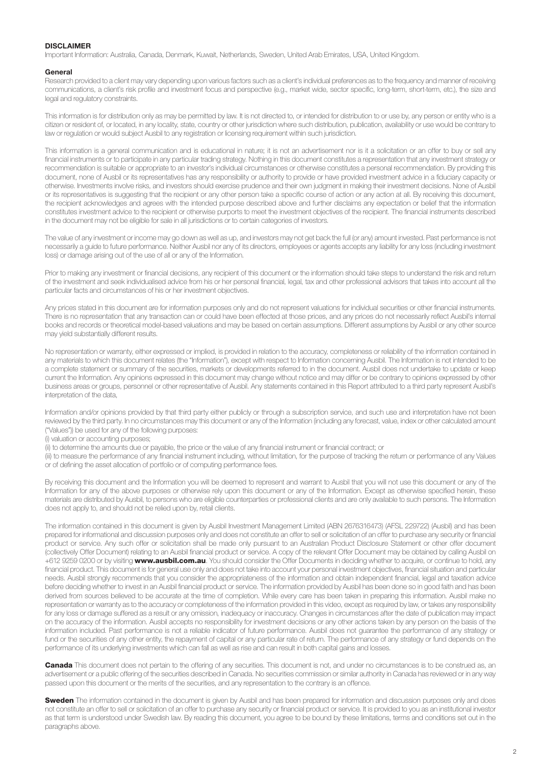#### DISCLAIMER

Important Information: Australia, Canada, Denmark, Kuwait, Netherlands, Sweden, United Arab Emirates, USA, United Kingdom.

#### General

Research provided to a client may vary depending upon various factors such as a client's individual preferences as to the frequency and manner of receiving communications, a client's risk profile and investment focus and perspective (e.g., market wide, sector specific, long-term, short-term, etc.), the size and legal and regulatory constraints.

This information is for distribution only as may be permitted by law. It is not directed to, or intended for distribution to or use by, any person or entity who is a citizen or resident of, or located, in any locality, state, country or other jurisdiction where such distribution, publication, availability or use would be contrary to law or regulation or would subject Ausbil to any registration or licensing requirement within such jurisdiction.

This information is a general communication and is educational in nature; it is not an advertisement nor is it a solicitation or an offer to buy or sell any financial instruments or to participate in any particular trading strategy. Nothing in this document constitutes a representation that any investment strategy or recommendation is suitable or appropriate to an investor's individual circumstances or otherwise constitutes a personal recommendation. By providing this document, none of Ausbil or its representatives has any responsibility or authority to provide or have provided investment advice in a fiduciary capacity or otherwise. Investments involve risks, and investors should exercise prudence and their own judgment in making their investment decisions. None of Ausbil or its representatives is suggesting that the recipient or any other person take a specific course of action or any action at all. By receiving this document, the recipient acknowledges and agrees with the intended purpose described above and further disclaims any expectation or belief that the information constitutes investment advice to the recipient or otherwise purports to meet the investment objectives of the recipient. The financial instruments described in the document may not be eligible for sale in all jurisdictions or to certain categories of investors.

The value of any investment or income may go down as well as up, and investors may not get back the full (or any) amount invested. Past performance is not necessarily a guide to future performance. Neither Ausbil nor any of its directors, employees or agents accepts any liability for any loss (including investment loss) or damage arising out of the use of all or any of the Information.

Prior to making any investment or financial decisions, any recipient of this document or the information should take steps to understand the risk and return of the investment and seek individualised advice from his or her personal financial, legal, tax and other professional advisors that takes into account all the particular facts and circumstances of his or her investment objectives.

Any prices stated in this document are for information purposes only and do not represent valuations for individual securities or other financial instruments. There is no representation that any transaction can or could have been effected at those prices, and any prices do not necessarily reflect Ausbil's internal books and records or theoretical model-based valuations and may be based on certain assumptions. Different assumptions by Ausbil or any other source may yield substantially different results.

No representation or warranty, either expressed or implied, is provided in relation to the accuracy, completeness or reliability of the information contained in any materials to which this document relates (the "Information"), except with respect to Information concerning Ausbil. The Information is not intended to be a complete statement or summary of the securities, markets or developments referred to in the document. Ausbil does not undertake to update or keep current the Information. Any opinions expressed in this document may change without notice and may differ or be contrary to opinions expressed by other business areas or groups, personnel or other representative of Ausbil. Any statements contained in this Report attributed to a third party represent Ausbil's interpretation of the data,

Information and/or opinions provided by that third party either publicly or through a subscription service, and such use and interpretation have not been reviewed by the third party. In no circumstances may this document or any of the Information (including any forecast, value, index or other calculated amount ("Values")) be used for any of the following purposes:

(i) valuation or accounting purposes;

(ii) to determine the amounts due or payable, the price or the value of any financial instrument or financial contract; or

(iii) to measure the performance of any financial instrument including, without limitation, for the purpose of tracking the return or performance of any Values or of defining the asset allocation of portfolio or of computing performance fees.

By receiving this document and the Information you will be deemed to represent and warrant to Ausbil that you will not use this document or any of the Information for any of the above purposes or otherwise rely upon this document or any of the Information. Except as otherwise specified herein, these materials are distributed by Ausbil, to persons who are eligible counterparties or professional clients and are only available to such persons. The Information does not apply to, and should not be relied upon by, retail clients.

The information contained in this document is given by Ausbil Investment Management Limited (ABN 2676316473) (AFSL 229722) (Ausbil) and has been prepared for informational and discussion purposes only and does not constitute an offer to sell or solicitation of an offer to purchase any security or financial product or service. Any such offer or solicitation shall be made only pursuant to an Australian Product Disclosure Statement or other offer document (collectively Offer Document) relating to an Ausbil financial product or service. A copy of the relevant Offer Document may be obtained by calling Ausbil on +612 9259 0200 or by visiting www.ausbil.com.au. You should consider the Offer Documents in deciding whether to acquire, or continue to hold, any financial product. This document is for general use only and does not take into account your personal investment objectives, financial situation and particular needs. Ausbil strongly recommends that you consider the appropriateness of the information and obtain independent financial, legal and taxation advice before deciding whether to invest in an Ausbil financial product or service. The information provided by Ausbil has been done so in good faith and has been derived from sources believed to be accurate at the time of completion. While every care has been taken in preparing this information. Ausbil make no representation or warranty as to the accuracy or completeness of the information provided in this video, except as required by law, or takes any responsibility for any loss or damage suffered as a result or any omission, inadequacy or inaccuracy. Changes in circumstances after the date of publication may impact on the accuracy of the information. Ausbil accepts no responsibility for investment decisions or any other actions taken by any person on the basis of the information included. Past performance is not a reliable indicator of future performance. Ausbil does not guarantee the performance of any strategy or fund or the securities of any other entity, the repayment of capital or any particular rate of return. The performance of any strategy or fund depends on the performance of its underlying investments which can fall as well as rise and can result in both capital gains and losses.

Canada This document does not pertain to the offering of any securities. This document is not, and under no circumstances is to be construed as, an advertisement or a public offering of the securities described in Canada. No securities commission or similar authority in Canada has reviewed or in any way passed upon this document or the merits of the securities, and any representation to the contrary is an offence.

Sweden The information contained in the document is given by Ausbil and has been prepared for information and discussion purposes only and does not constitute an offer to sell or solicitation of an offer to purchase any security or financial product or service. It is provided to you as an institutional investor as that term is understood under Swedish law. By reading this document, you agree to be bound by these limitations, terms and conditions set out in the paragraphs above.